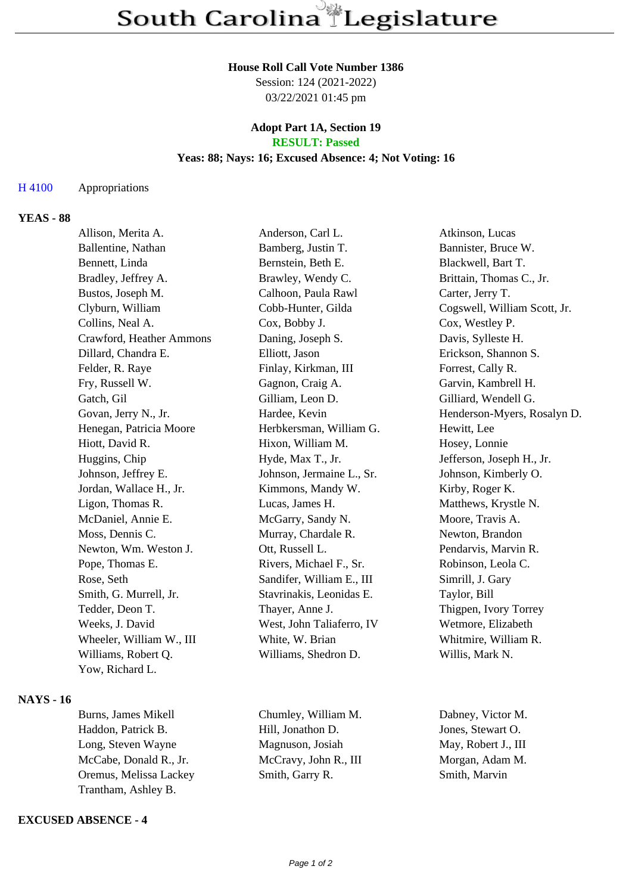### **House Roll Call Vote Number 1386**

Session: 124 (2021-2022) 03/22/2021 01:45 pm

# **Adopt Part 1A, Section 19 RESULT: Passed**

# **Yeas: 88; Nays: 16; Excused Absence: 4; Not Voting: 16**

# H 4100 Appropriations

# **YEAS - 88**

| Allison, Merita A.       | Anderson, Carl L.         | Atkinson, Lucas              |
|--------------------------|---------------------------|------------------------------|
| Ballentine, Nathan       | Bamberg, Justin T.        | Bannister, Bruce W.          |
| Bennett, Linda           | Bernstein, Beth E.        | Blackwell, Bart T.           |
| Bradley, Jeffrey A.      | Brawley, Wendy C.         | Brittain, Thomas C., Jr.     |
| Bustos, Joseph M.        | Calhoon, Paula Rawl       | Carter, Jerry T.             |
| Clyburn, William         | Cobb-Hunter, Gilda        | Cogswell, William Scott, Jr. |
| Collins, Neal A.         | Cox, Bobby J.             | Cox, Westley P.              |
| Crawford, Heather Ammons | Daning, Joseph S.         | Davis, Sylleste H.           |
| Dillard, Chandra E.      | Elliott, Jason            | Erickson, Shannon S.         |
| Felder, R. Raye          | Finlay, Kirkman, III      | Forrest, Cally R.            |
| Fry, Russell W.          | Gagnon, Craig A.          | Garvin, Kambrell H.          |
| Gatch, Gil               | Gilliam, Leon D.          | Gilliard, Wendell G.         |
| Govan, Jerry N., Jr.     | Hardee, Kevin             | Henderson-Myers, Rosalyn D.  |
| Henegan, Patricia Moore  | Herbkersman, William G.   | Hewitt, Lee                  |
| Hiott, David R.          | Hixon, William M.         | Hosey, Lonnie                |
| Huggins, Chip            | Hyde, Max T., Jr.         | Jefferson, Joseph H., Jr.    |
| Johnson, Jeffrey E.      | Johnson, Jermaine L., Sr. | Johnson, Kimberly O.         |
| Jordan, Wallace H., Jr.  | Kimmons, Mandy W.         | Kirby, Roger K.              |
| Ligon, Thomas R.         | Lucas, James H.           | Matthews, Krystle N.         |
| McDaniel, Annie E.       | McGarry, Sandy N.         | Moore, Travis A.             |
| Moss, Dennis C.          | Murray, Chardale R.       | Newton, Brandon              |
| Newton, Wm. Weston J.    | Ott, Russell L.           | Pendarvis, Marvin R.         |
| Pope, Thomas E.          | Rivers, Michael F., Sr.   | Robinson, Leola C.           |
| Rose, Seth               | Sandifer, William E., III | Simrill, J. Gary             |
| Smith, G. Murrell, Jr.   | Stavrinakis, Leonidas E.  | Taylor, Bill                 |
| Tedder, Deon T.          | Thayer, Anne J.           | Thigpen, Ivory Torrey        |
| Weeks, J. David          | West, John Taliaferro, IV | Wetmore, Elizabeth           |
| Wheeler, William W., III | White, W. Brian           | Whitmire, William R.         |
| Williams, Robert Q.      | Williams, Shedron D.      | Willis, Mark N.              |
| Yow, Richard L.          |                           |                              |
|                          |                           |                              |

### **NAYS - 16**

| Burns, James Mikell    |
|------------------------|
| Haddon, Patrick B.     |
| Long, Steven Wayne     |
| McCabe, Donald R., Jr. |
| Oremus, Melissa Lackey |
| Trantham, Ashley B.    |

**EXCUSED ABSENCE - 4**

Chumley, William M. Dabney, Victor M. Hill, Jonathon D. Jones, Stewart O. Magnuson, Josiah May, Robert J., III McCravy, John R., III Morgan, Adam M. Smith, Garry R. Smith, Marvin